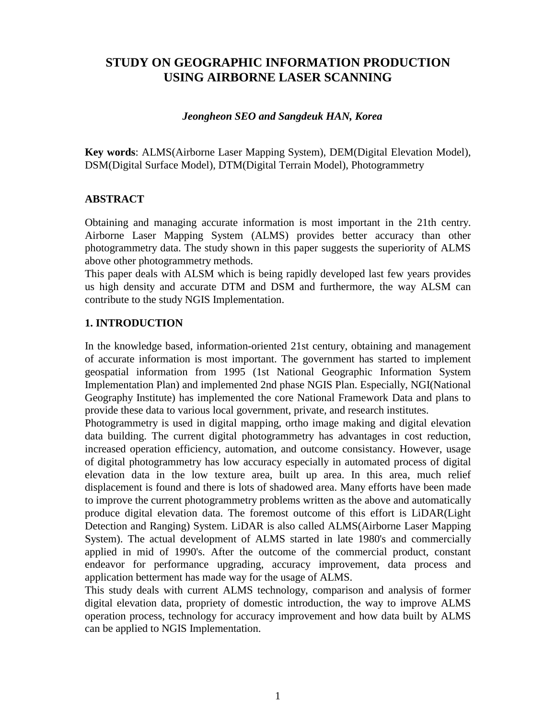# **STUDY ON GEOGRAPHIC INFORMATION PRODUCTION USING AIRBORNE LASER SCANNING**

#### *Jeongheon SEO and Sangdeuk HAN, Korea*

**Key words**: ALMS(Airborne Laser Mapping System), DEM(Digital Elevation Model), DSM(Digital Surface Model), DTM(Digital Terrain Model), Photogrammetry

#### **ABSTRACT**

Obtaining and managing accurate information is most important in the 21th centry. Airborne Laser Mapping System (ALMS) provides better accuracy than other photogrammetry data. The study shown in this paper suggests the superiority of ALMS above other photogrammetry methods.

This paper deals with ALSM which is being rapidly developed last few years provides us high density and accurate DTM and DSM and furthermore, the way ALSM can contribute to the study NGIS Implementation.

#### **1. INTRODUCTION**

In the knowledge based, information-oriented 21st century, obtaining and management of accurate information is most important. The government has started to implement geospatial information from 1995 (1st National Geographic Information System Implementation Plan) and implemented 2nd phase NGIS Plan. Especially, NGI(National Geography Institute) has implemented the core National Framework Data and plans to provide these data to various local government, private, and research institutes.

Photogrammetry is used in digital mapping, ortho image making and digital elevation data building. The current digital photogrammetry has advantages in cost reduction, increased operation efficiency, automation, and outcome consistancy. However, usage of digital photogrammetry has low accuracy especially in automated process of digital elevation data in the low texture area, built up area. In this area, much relief displacement is found and there is lots of shadowed area. Many efforts have been made to improve the current photogrammetry problems written as the above and automatically produce digital elevation data. The foremost outcome of this effort is LiDAR(Light Detection and Ranging) System. LiDAR is also called ALMS(Airborne Laser Mapping System). The actual development of ALMS started in late 1980's and commercially applied in mid of 1990's. After the outcome of the commercial product, constant endeavor for performance upgrading, accuracy improvement, data process and application betterment has made way for the usage of ALMS.

This study deals with current ALMS technology, comparison and analysis of former digital elevation data, propriety of domestic introduction, the way to improve ALMS operation process, technology for accuracy improvement and how data built by ALMS can be applied to NGIS Implementation.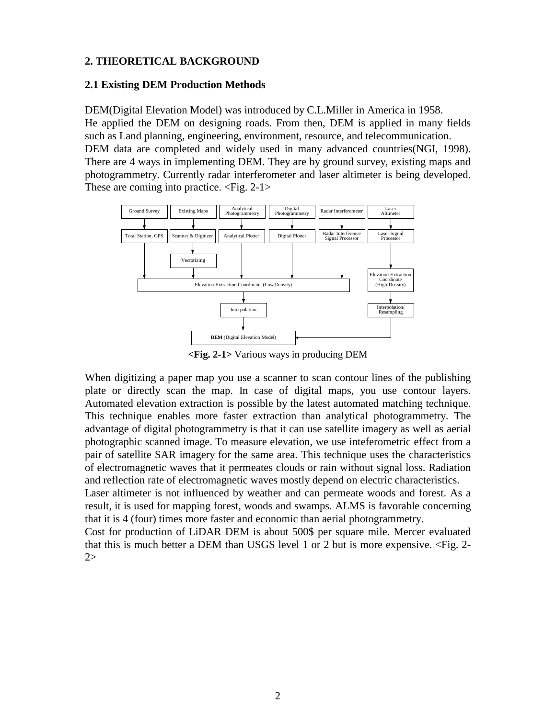#### **2. THEORETICAL BACKGROUND**

#### **2.1 Existing DEM Production Methods**

DEM(Digital Elevation Model) was introduced by C.L.Miller in America in 1958. He applied the DEM on designing roads. From then, DEM is applied in many fields such as Land planning, engineering, environment, resource, and telecommunication. DEM data are completed and widely used in many advanced countries(NGI, 1998). There are 4 ways in implementing DEM. They are by ground survey, existing maps and photogrammetry. Currently radar interferometer and laser altimeter is being developed. These are coming into practice. <Fig. 2-1>



**<Fig. 2-1>** Various ways in producing DEM

When digitizing a paper map you use a scanner to scan contour lines of the publishing plate or directly scan the map. In case of digital maps, you use contour layers. Automated elevation extraction is possible by the latest automated matching technique. This technique enables more faster extraction than analytical photogrammetry. The advantage of digital photogrammetry is that it can use satellite imagery as well as aerial photographic scanned image. To measure elevation, we use inteferometric effect from a pair of satellite SAR imagery for the same area. This technique uses the characteristics of electromagnetic waves that it permeates clouds or rain without signal loss. Radiation and reflection rate of electromagnetic waves mostly depend on electric characteristics.

Laser altimeter is not influenced by weather and can permeate woods and forest. As a result, it is used for mapping forest, woods and swamps. ALMS is favorable concerning that it is 4 (four) times more faster and economic than aerial photogrammetry.

Cost for production of LiDAR DEM is about 500\$ per square mile. Mercer evaluated that this is much better a DEM than USGS level 1 or 2 but is more expensive. <Fig. 2- 2>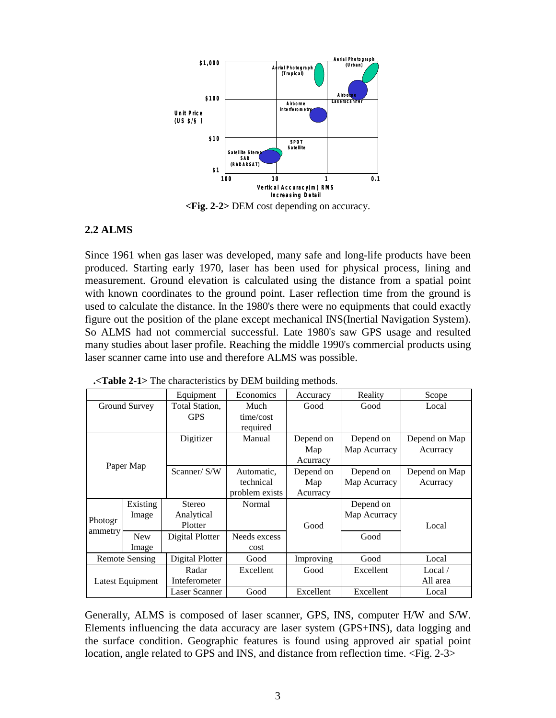

**<Fig. 2-2>** DEM cost depending on accuracy.

### **2.2 ALMS**

Since 1961 when gas laser was developed, many safe and long-life products have been produced. Starting early 1970, laser has been used for physical process, lining and measurement. Ground elevation is calculated using the distance from a spatial point with known coordinates to the ground point. Laser reflection time from the ground is used to calculate the distance. In the 1980's there were no equipments that could exactly figure out the position of the plane except mechanical INS(Inertial Navigation System). So ALMS had not commercial successful. Late 1980's saw GPS usage and resulted many studies about laser profile. Reaching the middle 1990's commercial products using laser scanner came into use and therefore ALMS was possible.

Equipment Economics Accuracy Reality Scope Ground Survey | Total Station, GPS Much time/cost required Good Good Local Digitizer | Manual | Depend on Map Acurracy Depend on Map Acurracy Depend on Map Acurracy Paper Map  $S/N$  Automatic, technical problem exists Depend on Map Acurracy Depend on Map Acurracy Depend on Map Acurracy Existing Image Stereo Analytical Plotter Normal Depend on Map Acurracy Photogr  $\frac{1}{\text{New}}$ Image Digital Plotter | Needs excess cost Good Good Local Remote Sensing Digital Plotter Good Improving Good Local Radar Inteferometer Excellent Good Excellent Local / Latest Equipment All area Laser Scanner | Good | Excellent | Excellent | Local

**.<Table 2-1>** The characteristics by DEM building methods.

Generally, ALMS is composed of laser scanner, GPS, INS, computer H/W and S/W. Elements influencing the data accuracy are laser system (GPS+INS), data logging and the surface condition. Geographic features is found using approved air spatial point location, angle related to GPS and INS, and distance from reflection time. <Fig. 2-3>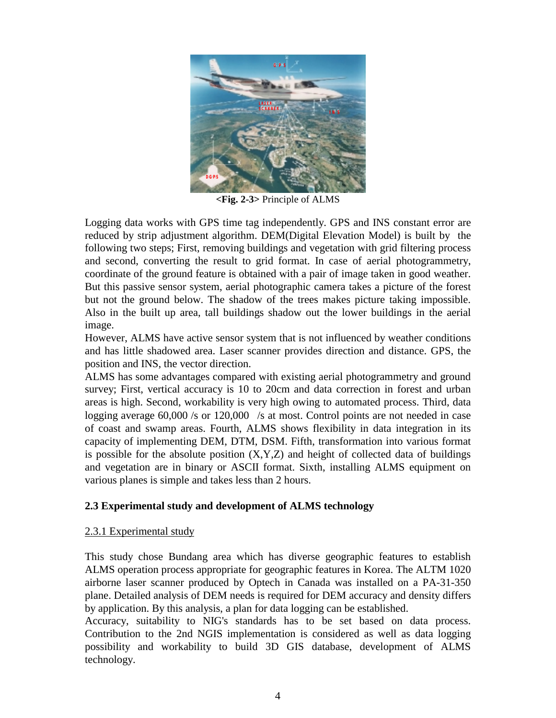

**<Fig. 2-3>** Principle of ALMS

Logging data works with GPS time tag independently. GPS and INS constant error are reduced by strip adjustment algorithm. DEM(Digital Elevation Model) is built by the following two steps; First, removing buildings and vegetation with grid filtering process and second, converting the result to grid format. In case of aerial photogrammetry, coordinate of the ground feature is obtained with a pair of image taken in good weather. But this passive sensor system, aerial photographic camera takes a picture of the forest but not the ground below. The shadow of the trees makes picture taking impossible. Also in the built up area, tall buildings shadow out the lower buildings in the aerial image.

However, ALMS have active sensor system that is not influenced by weather conditions and has little shadowed area. Laser scanner provides direction and distance. GPS, the position and INS, the vector direction.

ALMS has some advantages compared with existing aerial photogrammetry and ground survey; First, vertical accuracy is 10 to 20cm and data correction in forest and urban areas is high. Second, workability is very high owing to automated process. Third, data logging average  $60,000$  /s or  $120,000$  /s at most. Control points are not needed in case of coast and swamp areas. Fourth, ALMS shows flexibility in data integration in its capacity of implementing DEM, DTM, DSM. Fifth, transformation into various format is possible for the absolute position  $(X, Y, Z)$  and height of collected data of buildings and vegetation are in binary or ASCII format. Sixth, installing ALMS equipment on various planes is simple and takes less than 2 hours.

### **2.3 Experimental study and development of ALMS technology**

### 2.3.1 Experimental study

This study chose Bundang area which has diverse geographic features to establish ALMS operation process appropriate for geographic features in Korea. The ALTM 1020 airborne laser scanner produced by Optech in Canada was installed on a PA-31-350 plane. Detailed analysis of DEM needs is required for DEM accuracy and density differs by application. By this analysis, a plan for data logging can be established.

Accuracy, suitability to NIG's standards has to be set based on data process. Contribution to the 2nd NGIS implementation is considered as well as data logging possibility and workability to build 3D GIS database, development of ALMS technology.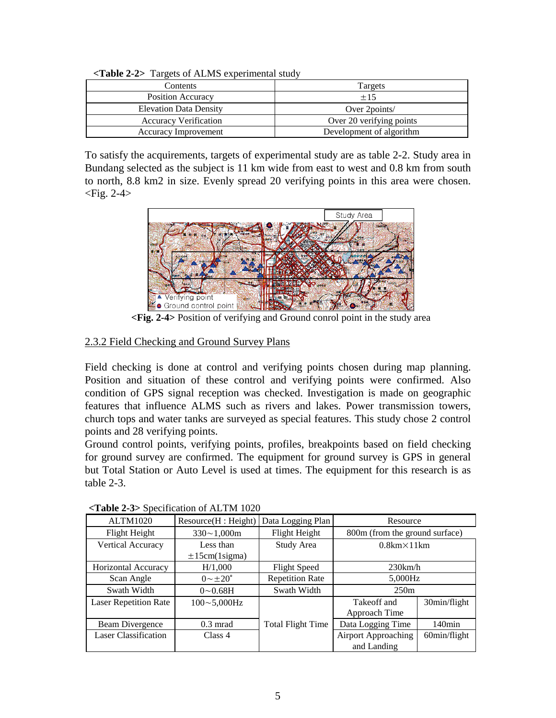| $1 - 300 - 900 - 1000 - 1000 - 1000 - 1000 - 1000 - 1000 - 1000 - 1000 - 1000 - 1000 - 1000 - 1000 - 1000 - 1000 - 1000 - 1000 - 1000 - 1000 - 1000 - 1000 - 1000 - 1000 - 1000 - 1000 - 1000 - 1000 - 1000 - 1000 - 1000 - 1000 - 1000 - 1000 - 1000 - 1000 - 100$ |                          |  |  |  |  |  |
|---------------------------------------------------------------------------------------------------------------------------------------------------------------------------------------------------------------------------------------------------------------------|--------------------------|--|--|--|--|--|
| Contents                                                                                                                                                                                                                                                            | Targets                  |  |  |  |  |  |
| <b>Position Accuracy</b>                                                                                                                                                                                                                                            | $\pm 15$                 |  |  |  |  |  |
| <b>Elevation Data Density</b>                                                                                                                                                                                                                                       | Over 2points/            |  |  |  |  |  |
| <b>Accuracy Verification</b>                                                                                                                                                                                                                                        | Over 20 verifying points |  |  |  |  |  |
| <b>Accuracy Improvement</b>                                                                                                                                                                                                                                         | Development of algorithm |  |  |  |  |  |

**<Table 2-2>** Targets of ALMS experimental study

To satisfy the acquirements, targets of experimental study are as table 2-2. Study area in Bundang selected as the subject is 11 km wide from east to west and 0.8 km from south to north, 8.8 km2 in size. Evenly spread 20 verifying points in this area were chosen.  $\langle$ Fig. 2-4 $\rangle$ 



**<Fig. 2-4>** Position of verifying and Ground conrol point in the study area

## 2.3.2 Field Checking and Ground Survey Plans

Field checking is done at control and verifying points chosen during map planning. Position and situation of these control and verifying points were confirmed. Also condition of GPS signal reception was checked. Investigation is made on geographic features that influence ALMS such as rivers and lakes. Power transmission towers, church tops and water tanks are surveyed as special features. This study chose 2 control points and 28 verifying points.

Ground control points, verifying points, profiles, breakpoints based on field checking for ground survey are confirmed. The equipment for ground survey is GPS in general but Total Station or Auto Level is used at times. The equipment for this research is as table 2-3.

| <b>ALTM1020</b>              | Resource(H : Height)    | Data Logging Plan        | Resource                                      |              |  |
|------------------------------|-------------------------|--------------------------|-----------------------------------------------|--------------|--|
| Flight Height                | $330 \sim 1,000$ m      | Flight Height            | 800m (from the ground surface)                |              |  |
| Vertical Accuracy            | Less than               | Study Area               | $0.8km \times 11km$                           |              |  |
|                              | $\pm 15$ cm(1sigma)     |                          |                                               |              |  |
| <b>Horizontal Accuracy</b>   | H/1,000                 | <b>Flight Speed</b>      | 230km/h                                       |              |  |
| Scan Angle                   | $0 \sim \pm 20^{\circ}$ | <b>Repetition Rate</b>   | 5,000Hz                                       |              |  |
| Swath Width                  | $0 \sim 0.68$ H         | Swath Width              | 250m                                          |              |  |
| <b>Laser Repetition Rate</b> | $100 - 5,000$ Hz        |                          | Takeoff and                                   | 30min/flight |  |
|                              |                         |                          | Approach Time                                 |              |  |
| Beam Divergence              | $0.3 \text{ mrad}$      | <b>Total Flight Time</b> | $140$ min<br>Data Logging Time                |              |  |
| <b>Laser Classification</b>  | Class 4                 |                          | <b>Airport Approaching</b><br>$60$ min/flight |              |  |
|                              |                         |                          | and Landing                                   |              |  |

**<Table 2-3>** Specification of ALTM 1020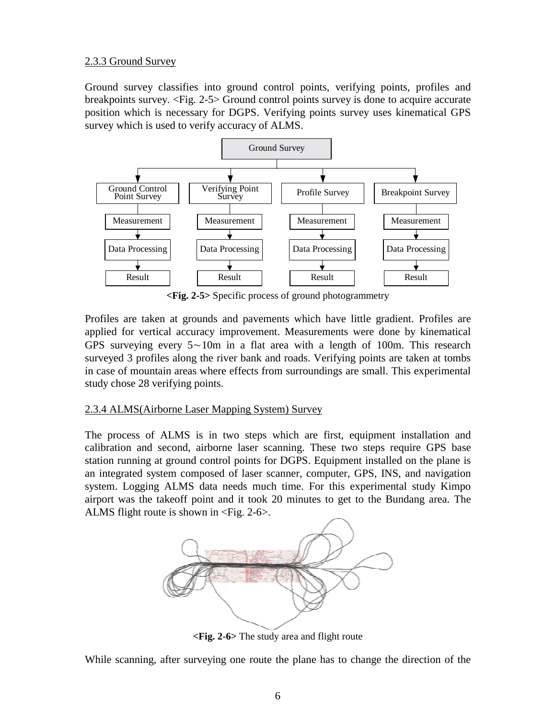### 2.3.3 Ground Survey

Ground survey classifies into ground control points, verifying points, profiles and breakpoints survey. <Fig. 2-5> Ground control points survey is done to acquire accurate position which is necessary for DGPS. Verifying points survey uses kinematical GPS survey which is used to verify accuracy of ALMS.



**<Fig. 2-5>** Specific process of ground photogrammetry

Profiles are taken at grounds and pavements which have little gradient. Profiles are applied for vertical accuracy improvement. Measurements were done by kinematical GPS surveying every 5∼10m in a flat area with a length of 100m. This research surveyed 3 profiles along the river bank and roads. Verifying points are taken at tombs in case of mountain areas where effects from surroundings are small. This experimental study chose 28 verifying points.

### 2.3.4 ALMS(Airborne Laser Mapping System) Survey

The process of ALMS is in two steps which are first, equipment installation and calibration and second, airborne laser scanning. These two steps require GPS base station running at ground control points for DGPS. Equipment installed on the plane is an integrated system composed of laser scanner, computer, GPS, INS, and navigation system. Logging ALMS data needs much time. For this experimental study Kimpo airport was the takeoff point and it took 20 minutes to get to the Bundang area. The ALMS flight route is shown in  $\langle$ Fig. 2-6 $\rangle$ .



**<Fig. 2-6>** The study area and flight route

While scanning, after surveying one route the plane has to change the direction of the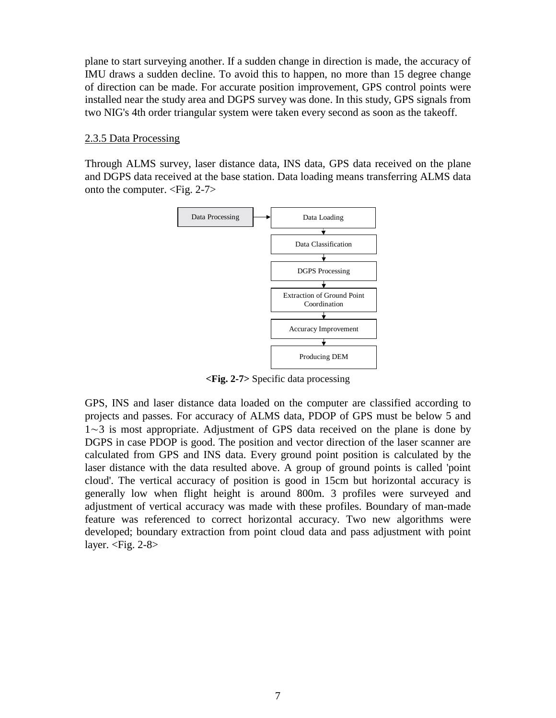plane to start surveying another. If a sudden change in direction is made, the accuracy of IMU draws a sudden decline. To avoid this to happen, no more than 15 degree change of direction can be made. For accurate position improvement, GPS control points were installed near the study area and DGPS survey was done. In this study, GPS signals from two NIG's 4th order triangular system were taken every second as soon as the takeoff.

#### 2.3.5 Data Processing

Through ALMS survey, laser distance data, INS data, GPS data received on the plane and DGPS data received at the base station. Data loading means transferring ALMS data onto the computer. <Fig. 2-7>



**<Fig. 2-7>** Specific data processing

GPS, INS and laser distance data loaded on the computer are classified according to projects and passes. For accuracy of ALMS data, PDOP of GPS must be below 5 and 1∼3 is most appropriate. Adjustment of GPS data received on the plane is done by DGPS in case PDOP is good. The position and vector direction of the laser scanner are calculated from GPS and INS data. Every ground point position is calculated by the laser distance with the data resulted above. A group of ground points is called 'point cloud'. The vertical accuracy of position is good in 15cm but horizontal accuracy is generally low when flight height is around 800m. 3 profiles were surveyed and adjustment of vertical accuracy was made with these profiles. Boundary of man-made feature was referenced to correct horizontal accuracy. Two new algorithms were developed; boundary extraction from point cloud data and pass adjustment with point layer.  $\langle$ Fig. 2-8 $\rangle$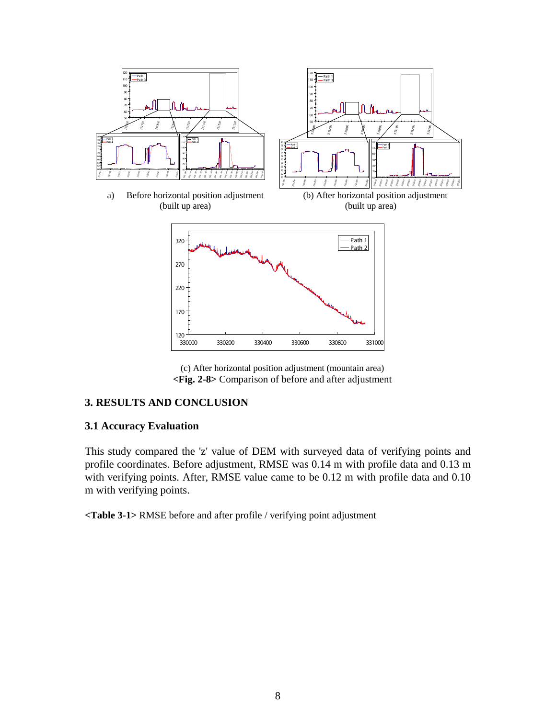

(c) After horizontal position adjustment (mountain area) **<Fig. 2-8>** Comparison of before and after adjustment

### **3. RESULTS AND CONCLUSION**

#### **3.1 Accuracy Evaluation**

This study compared the 'z' value of DEM with surveyed data of verifying points and profile coordinates. Before adjustment, RMSE was 0.14 m with profile data and 0.13 m with verifying points. After, RMSE value came to be 0.12 m with profile data and 0.10 m with verifying points.

**<Table 3-1>** RMSE before and after profile / verifying point adjustment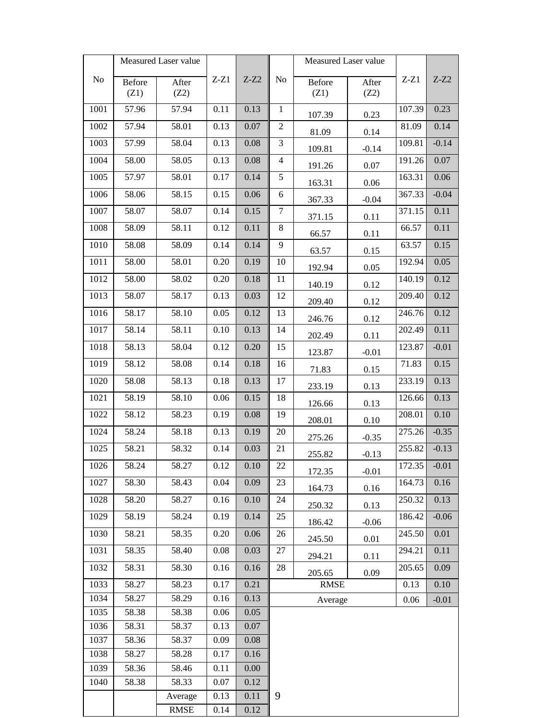| Measured Laser value |        |             |          |          | Measured Laser value |        |         |         |          |
|----------------------|--------|-------------|----------|----------|----------------------|--------|---------|---------|----------|
| $\rm No$             | Before | After       | $Z-Z1$   | $Z-Z2$   | N <sub>0</sub>       | Before | After   | $Z-Z1$  | $Z-Z2$   |
|                      | (Z1)   | (Z2)        |          |          |                      | (Z1)   | (Z2)    |         |          |
| 1001                 | 57.96  | 57.94       | $0.11\,$ | 0.13     | $\mathbf{1}$         | 107.39 | 0.23    | 107.39  | 0.23     |
| 1002                 | 57.94  | 58.01       | 0.13     | $0.07\,$ | $\overline{2}$       | 81.09  | 0.14    | 81.09   | 0.14     |
| 1003                 | 57.99  | 58.04       | 0.13     | 0.08     | 3                    | 109.81 | $-0.14$ | 109.81  | $-0.14$  |
| 1004                 | 58.00  | 58.05       | 0.13     | 0.08     | $\overline{4}$       | 191.26 | 0.07    | 191.26  | 0.07     |
| 1005                 | 57.97  | 58.01       | 0.17     | 0.14     | $\sqrt{5}$           | 163.31 | 0.06    | 163.31  | 0.06     |
| 1006                 | 58.06  | 58.15       | 0.15     | 0.06     | 6                    | 367.33 | $-0.04$ | 367.33  | $-0.04$  |
| 1007                 | 58.07  | 58.07       | 0.14     | 0.15     | $\boldsymbol{7}$     | 371.15 | 0.11    | 371.15  | 0.11     |
| 1008                 | 58.09  | 58.11       | 0.12     | 0.11     | $8\,$                | 66.57  | 0.11    | 66.57   | 0.11     |
| 1010                 | 58.08  | 58.09       | 0.14     | 0.14     | 9                    | 63.57  | 0.15    | 63.57   | 0.15     |
| 1011                 | 58.00  | 58.01       | 0.20     | 0.19     | 10                   | 192.94 | 0.05    | 192.94  | 0.05     |
| 1012                 | 58.00  | 58.02       | 0.20     | 0.18     | 11                   | 140.19 | 0.12    | 140.19  | 0.12     |
| 1013                 | 58.07  | 58.17       | 0.13     | 0.03     | 12                   | 209.40 | 0.12    | 209.40  | 0.12     |
| 1016                 | 58.17  | 58.10       | 0.05     | 0.12     | 13                   | 246.76 | 0.12    | 246.76  | 0.12     |
| 1017                 | 58.14  | 58.11       | 0.10     | 0.13     | 14                   | 202.49 | 0.11    | 202.49  | 0.11     |
| 1018                 | 58.13  | 58.04       | 0.12     | 0.20     | 15                   | 123.87 | $-0.01$ | 123.87  | $-0.01$  |
| 1019                 | 58.12  | 58.08       | 0.14     | 0.18     | 16                   | 71.83  | 0.15    | 71.83   | 0.15     |
| 1020                 | 58.08  | 58.13       | 0.18     | 0.13     | 17                   | 233.19 | 0.13    | 233.19  | 0.13     |
| 1021                 | 58.19  | 58.10       | 0.06     | 0.15     | 18                   | 126.66 | 0.13    | 126.66  | 0.13     |
| 1022                 | 58.12  | 58.23       | 0.19     | 0.08     | 19                   | 208.01 | 0.10    | 208.01  | 0.10     |
| 1024                 | 58.24  | 58.18       | 0.13     | 0.19     | 20                   | 275.26 | $-0.35$ | 275.26  | $-0.35$  |
| 1025                 | 58.21  | 58.32       | 0.14     | 0.03     | 21                   | 255.82 | $-0.13$ | 255.82  | $-0.13$  |
| 1026                 | 58.24  | 58.27       | 0.12     | 0.10     | 22                   | 172.35 | $-0.01$ | 172.35  | $-0.01$  |
| 1027                 | 58.30  | 58.43       | 0.04     | 0.09     | 23                   | 164.73 | 0.16    | 164.73  | 0.16     |
| 1028                 | 58.20  | 58.27       | 0.16     | 0.10     | 24                   | 250.32 | 0.13    | 250.32  | 0.13     |
| 1029                 | 58.19  | 58.24       | 0.19     | 0.14     | 25                   | 186.42 | $-0.06$ | 186.42  | $-0.06$  |
| 1030                 | 58.21  | 58.35       | 0.20     | 0.06     | 26                   | 245.50 | 0.01    | 245.50  | $0.01\,$ |
| 1031                 | 58.35  | 58.40       | 0.08     | 0.03     | 27                   | 294.21 | 0.11    | 294.21  | 0.11     |
| 1032                 | 58.31  | 58.30       | 0.16     | 0.16     | 28                   | 205.65 | 0.09    | 205.65  | 0.09     |
| 1033                 | 58.27  | 58.23       | 0.17     | 0.21     | <b>RMSE</b><br>0.13  |        |         | 0.10    |          |
| 1034                 | 58.27  | 58.29       | 0.16     | 0.13     | 0.06<br>Average      |        |         | $-0.01$ |          |
| 1035                 | 58.38  | 58.38       | 0.06     | 0.05     |                      |        |         |         |          |
| 1036                 | 58.31  | 58.37       | 0.13     | $0.07\,$ |                      |        |         |         |          |
| 1037                 | 58.36  | 58.37       | 0.09     | 0.08     |                      |        |         |         |          |
| 1038                 | 58.27  | 58.28       | 0.17     | 0.16     |                      |        |         |         |          |
| 1039                 | 58.36  | 58.46       | 0.11     | 0.00     |                      |        |         |         |          |
| 1040                 | 58.38  | 58.33       | 0.07     | 0.12     |                      |        |         |         |          |
|                      |        | Average     | 0.13     | 0.11     | 9                    |        |         |         |          |
|                      |        | <b>RMSE</b> | 0.14     | 0.12     |                      |        |         |         |          |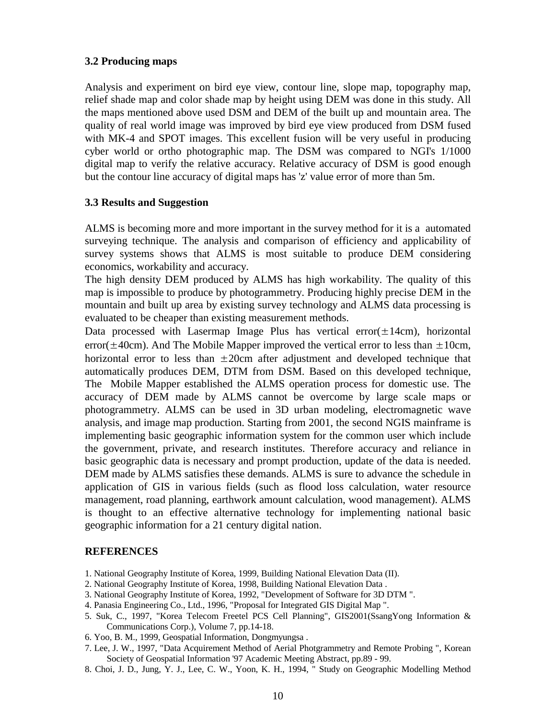#### **3.2 Producing maps**

Analysis and experiment on bird eye view, contour line, slope map, topography map, relief shade map and color shade map by height using DEM was done in this study. All the maps mentioned above used DSM and DEM of the built up and mountain area. The quality of real world image was improved by bird eye view produced from DSM fused with MK-4 and SPOT images. This excellent fusion will be very useful in producing cyber world or ortho photographic map. The DSM was compared to NGI's 1/1000 digital map to verify the relative accuracy. Relative accuracy of DSM is good enough but the contour line accuracy of digital maps has 'z' value error of more than 5m.

#### **3.3 Results and Suggestion**

ALMS is becoming more and more important in the survey method for it is a automated surveying technique. The analysis and comparison of efficiency and applicability of survey systems shows that ALMS is most suitable to produce DEM considering economics, workability and accuracy.

The high density DEM produced by ALMS has high workability. The quality of this map is impossible to produce by photogrammetry. Producing highly precise DEM in the mountain and built up area by existing survey technology and ALMS data processing is evaluated to be cheaper than existing measurement methods.

Data processed with Lasermap Image Plus has vertical error $(\pm 14 \text{cm})$ , horizontal error( $\pm$ 40cm). And The Mobile Mapper improved the vertical error to less than  $\pm$ 10cm, horizontal error to less than  $\pm 20$ cm after adjustment and developed technique that automatically produces DEM, DTM from DSM. Based on this developed technique, The Mobile Mapper established the ALMS operation process for domestic use. The accuracy of DEM made by ALMS cannot be overcome by large scale maps or photogrammetry. ALMS can be used in 3D urban modeling, electromagnetic wave analysis, and image map production. Starting from 2001, the second NGIS mainframe is implementing basic geographic information system for the common user which include the government, private, and research institutes. Therefore accuracy and reliance in basic geographic data is necessary and prompt production, update of the data is needed. DEM made by ALMS satisfies these demands. ALMS is sure to advance the schedule in application of GIS in various fields (such as flood loss calculation, water resource management, road planning, earthwork amount calculation, wood management). ALMS is thought to an effective alternative technology for implementing national basic geographic information for a 21 century digital nation.

#### **REFERENCES**

- 1. National Geography Institute of Korea, 1999, Building National Elevation Data (II).
- 2. National Geography Institute of Korea, 1998, Building National Elevation Data .
- 3. National Geography Institute of Korea, 1992, "Development of Software for 3D DTM ".
- 4. Panasia Engineering Co., Ltd., 1996, "Proposal for Integrated GIS Digital Map ".
- 5. Suk, C., 1997, "Korea Telecom Freetel PCS Cell Planning", GIS2001(SsangYong Information & Communications Corp.), Volume 7, pp.14-18.
- 6. Yoo, B. M., 1999, Geospatial Information, Dongmyungsa .
- 7. Lee, J. W., 1997, "Data Acquirement Method of Aerial Photgrammetry and Remote Probing ", Korean Society of Geospatial Information '97 Academic Meeting Abstract, pp.89 - 99.
- 8. Choi, J. D., Jung, Y. J., Lee, C. W., Yoon, K. H., 1994, " Study on Geographic Modelling Method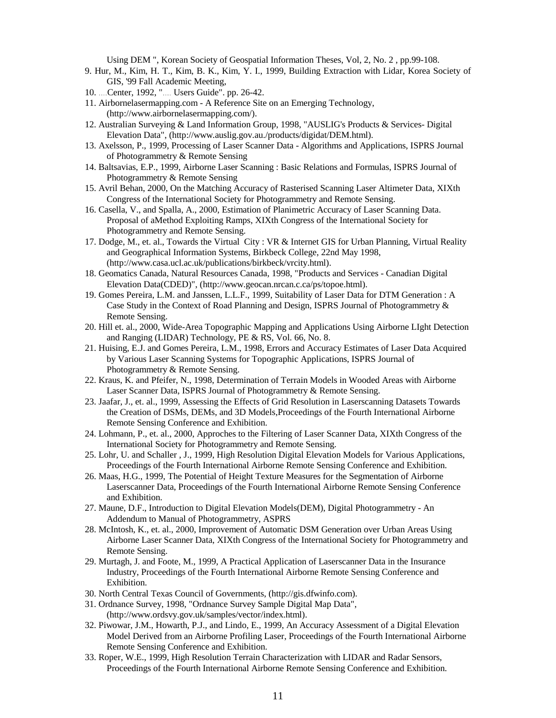Using DEM ", Korean Society of Geospatial Information Theses, Vol, 2, No. 2 , pp.99-108.

- 9. Hur, M., Kim, H. T., Kim, B. K., Kim, Y. I., 1999, Building Extraction with Lidar, Korea Society of GIS, '99 Fall Academic Meeting,
- 10. ...Center, 1992, ".... Users Guide". pp. 26-42.
- 11. Airbornelasermapping.com A Reference Site on an Emerging Technology, (http://www.airbornelasermapping.com/).
- 12. Australian Surveying & Land Information Group, 1998, "AUSLIG's Products & Services- Digital Elevation Data", (http://www.auslig.gov.au./products/digidat/DEM.html).
- 13. Axelsson, P., 1999, Processing of Laser Scanner Data Algorithms and Applications, ISPRS Journal of Photogrammetry & Remote Sensing
- 14. Baltsavias, E.P., 1999, Airborne Laser Scanning : Basic Relations and Formulas, ISPRS Journal of Photogrammetry & Remote Sensing
- 15. Avril Behan, 2000, On the Matching Accuracy of Rasterised Scanning Laser Altimeter Data, XIXth Congress of the International Society for Photogrammetry and Remote Sensing.
- 16. Casella, V., and Spalla, A., 2000, Estimation of Planimetric Accuracy of Laser Scanning Data. Proposal of aMethod Exploiting Ramps, XIXth Congress of the International Society for Photogrammetry and Remote Sensing.
- 17. Dodge, M., et. al., Towards the Virtual City : VR & Internet GIS for Urban Planning, Virtual Reality and Geographical Information Systems, Birkbeck College, 22nd May 1998, (http://www.casa.ucl.ac.uk/publications/birkbeck/vrcity.html).
- 18. Geomatics Canada, Natural Resources Canada, 1998, "Products and Services Canadian Digital Elevation Data(CDED)", (http://www.geocan.nrcan.c.ca/ps/topoe.html).
- 19. Gomes Pereira, L.M. and Janssen, L.L.F., 1999, Suitability of Laser Data for DTM Generation : A Case Study in the Context of Road Planning and Design, ISPRS Journal of Photogrammetry & Remote Sensing.
- 20. Hill et. al., 2000, Wide-Area Topographic Mapping and Applications Using Airborne LIght Detection and Ranging (LIDAR) Technology, PE & RS, Vol. 66, No. 8.
- 21. Huising, E.J. and Gomes Pereira, L.M., 1998, Errors and Accuracy Estimates of Laser Data Acquired by Various Laser Scanning Systems for Topographic Applications, ISPRS Journal of Photogrammetry & Remote Sensing.
- 22. Kraus, K. and Pfeifer, N., 1998, Determination of Terrain Models in Wooded Areas with Airborne Laser Scanner Data, ISPRS Journal of Photogrammetry & Remote Sensing.
- 23. Jaafar, J., et. al., 1999, Assessing the Effects of Grid Resolution in Laserscanning Datasets Towards the Creation of DSMs, DEMs, and 3D Models,Proceedings of the Fourth International Airborne Remote Sensing Conference and Exhibition.
- 24. Lohmann, P., et. al., 2000, Approches to the Filtering of Laser Scanner Data, XIXth Congress of the International Society for Photogrammetry and Remote Sensing.
- 25. Lohr, U. and Schaller , J., 1999, High Resolution Digital Elevation Models for Various Applications, Proceedings of the Fourth International Airborne Remote Sensing Conference and Exhibition.
- 26. Maas, H.G., 1999, The Potential of Height Texture Measures for the Segmentation of Airborne Laserscanner Data, Proceedings of the Fourth International Airborne Remote Sensing Conference and Exhibition.
- 27. Maune, D.F., Introduction to Digital Elevation Models(DEM), Digital Photogrammetry An Addendum to Manual of Photogrammetry, ASPRS
- 28. McIntosh, K., et. al., 2000, Improvement of Automatic DSM Generation over Urban Areas Using Airborne Laser Scanner Data, XIXth Congress of the International Society for Photogrammetry and Remote Sensing.
- 29. Murtagh, J. and Foote, M., 1999, A Practical Application of Laserscanner Data in the Insurance Industry, Proceedings of the Fourth International Airborne Remote Sensing Conference and Exhibition.
- 30. North Central Texas Council of Governments, (http://gis.dfwinfo.com).
- 31. Ordnance Survey, 1998, "Ordnance Survey Sample Digital Map Data", (http://www.ordsvy.gov.uk/samples/vector/index.html).
- 32. Piwowar, J.M., Howarth, P.J., and Lindo, E., 1999, An Accuracy Assessment of a Digital Elevation Model Derived from an Airborne Profiling Laser, Proceedings of the Fourth International Airborne Remote Sensing Conference and Exhibition.
- 33. Roper, W.E., 1999, High Resolution Terrain Characterization with LIDAR and Radar Sensors, Proceedings of the Fourth International Airborne Remote Sensing Conference and Exhibition.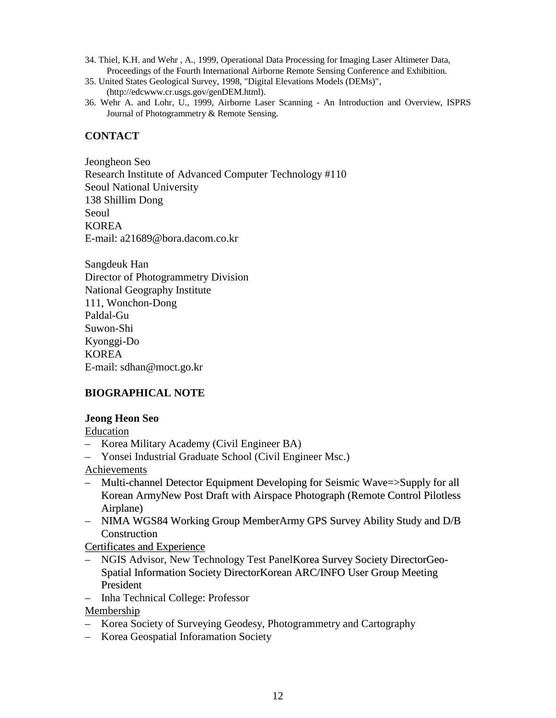- 34. Thiel, K.H. and Wehr , A., 1999, Operational Data Processing for Imaging Laser Altimeter Data, Proceedings of the Fourth International Airborne Remote Sensing Conference and Exhibition.
- 35. United States Geological Survey, 1998, "Digital Elevations Models (DEMs)", (http://edcwww.cr.usgs.gov/genDEM.html).
- 36. Wehr A. and Lohr, U., 1999, Airborne Laser Scanning An Introduction and Overview, ISPRS Journal of Photogrammetry & Remote Sensing.

### **CONTACT**

Jeongheon Seo Research Institute of Advanced Computer Technology #110 Seoul National University 138 Shillim Dong Seoul KOREA E-mail: a21689@bora.dacom.co.kr

Sangdeuk Han Director of Photogrammetry Division National Geography Institute 111, Wonchon-Dong Paldal-Gu Suwon-Shi Kyonggi-Do KOREA E-mail: sdhan@moct.go.kr

### **BIOGRAPHICAL NOTE**

#### **Jeong Heon Seo**

Education

- Korea Military Academy (Civil Engineer BA)
- Yonsei Industrial Graduate School (Civil Engineer Msc.)

Achievements

- Multi-channel Detector Equipment Developing for Seismic Wave=>Supply for all Korean ArmyNew Post Draft with Airspace Photograph (Remote Control Pilotless Airplane)
- NIMA WGS84 Working Group MemberArmy GPS Survey Ability Study and D/B Construction

Certificates and Experience

- NGIS Advisor, New Technology Test PanelKorea Survey Society DirectorGeo-Spatial Information Society DirectorKorean ARC/INFO User Group Meeting President
- Inha Technical College: Professor

Membership

- Korea Society of Surveying Geodesy, Photogrammetry and Cartography
- Korea Geospatial Inforamation Society